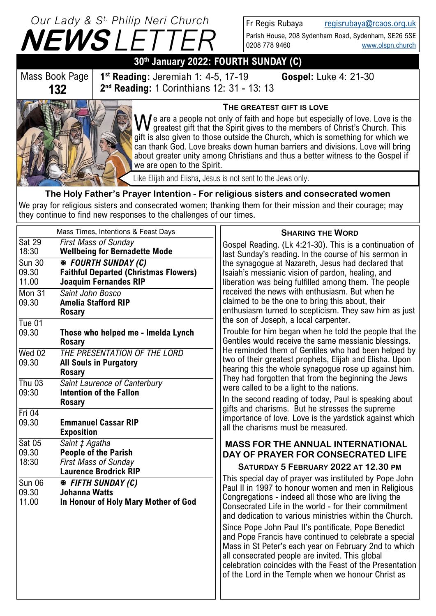# **NEWS** LETT *Our Lady & S t. Philip Neri Church* **30th January 2022: FOURTH SUNDAY (C)**

Fr Regis Rubaya [regisrubaya@rcaos.org.uk](mailto:regisrubaya@rcaos.org.uk)

Parish House, 208 Sydenham Road, Sydenham, SE26 5SE 0208 778 9460 [www.olspn.church](http://www.olspn.church)

## Mass Book Page **132**

**1 st Reading:** Jeremiah 1: 4-5, 17-19 **Gospel:** Luke 4: 21-30 **2 nd Reading:** 1 Corinthians 12: 31 - 13: 13



#### **THE GREATEST GIFT IS LOVE**

We are a people not only of faith and hope but especially of love. Love is the greatest gift that the Spirit gives to the members of Christ's Church. This greatest gift that the Spirit gives to the members of Christ's Church. This gift is also given to those outside the Church, which is something for which we can thank God. Love breaks down human barriers and divisions. Love will bring about greater unity among Christians and thus a better witness to the Gospel if we are open to the Spirit.

Like Elijah and Elisha, Jesus is not sent to the Jews only.

## **The Holy Father's Prayer Intention - For religious sisters and consecrated women**

We pray for religious sisters and consecrated women; thanking them for their mission and their courage; may they continue to find new responses to the challenges of our times.

|                                              | Mass Times, Intentions & Feast Days                                                                                        | <b>SHARING THE WORD</b>                                                                                                                                                                                                                                                                                                                                                                                                                                                                                                                                                                                                                  |
|----------------------------------------------|----------------------------------------------------------------------------------------------------------------------------|------------------------------------------------------------------------------------------------------------------------------------------------------------------------------------------------------------------------------------------------------------------------------------------------------------------------------------------------------------------------------------------------------------------------------------------------------------------------------------------------------------------------------------------------------------------------------------------------------------------------------------------|
| <b>Sat 29</b><br>18:30                       | <b>First Mass of Sunday</b><br><b>Wellbeing for Bernadette Mode</b>                                                        | Gospel Reading. (Lk 4:21-30). This is a continuation of<br>last Sunday's reading. In the course of his sermon in<br>the synagogue at Nazareth, Jesus had declared that<br>Isaiah's messianic vision of pardon, healing, and<br>liberation was being fulfilled among them. The people<br>received the news with enthusiasm. But when he<br>claimed to be the one to bring this about, their<br>enthusiasm turned to scepticism. They saw him as just                                                                                                                                                                                      |
| $\overline{\text{Sun }30}$<br>09.30<br>11.00 | <b>※ FOURTH SUNDAY (C)</b><br><b>Faithful Departed (Christmas Flowers)</b><br><b>Joaquim Fernandes RIP</b>                 |                                                                                                                                                                                                                                                                                                                                                                                                                                                                                                                                                                                                                                          |
| Mon 31<br>09.30                              | Saint John Bosco<br><b>Amelia Stafford RIP</b><br><b>Rosary</b>                                                            |                                                                                                                                                                                                                                                                                                                                                                                                                                                                                                                                                                                                                                          |
| Tue 01<br>09.30                              | Those who helped me - Imelda Lynch<br><b>Rosary</b>                                                                        | the son of Joseph, a local carpenter.<br>Trouble for him began when he told the people that the<br>Gentiles would receive the same messianic blessings.                                                                                                                                                                                                                                                                                                                                                                                                                                                                                  |
| Wed 02<br>09.30                              | THE PRESENTATION OF THE LORD<br><b>All Souls in Purgatory</b><br><b>Rosary</b>                                             | He reminded them of Gentiles who had been helped by<br>two of their greatest prophets, Elijah and Elisha. Upon<br>hearing this the whole synagogue rose up against him.<br>They had forgotten that from the beginning the Jews<br>were called to be a light to the nations.<br>In the second reading of today, Paul is speaking about                                                                                                                                                                                                                                                                                                    |
| <b>Thu 03</b><br>09:30                       | Saint Laurence of Canterbury<br><b>Intention of the Fallon</b><br><b>Rosary</b>                                            |                                                                                                                                                                                                                                                                                                                                                                                                                                                                                                                                                                                                                                          |
| Fri 04<br>09.30                              | <b>Emmanuel Cassar RIP</b><br><b>Exposition</b>                                                                            | gifts and charisms. But he stresses the supreme<br>importance of love. Love is the yardstick against which<br>all the charisms must be measured.                                                                                                                                                                                                                                                                                                                                                                                                                                                                                         |
| <b>Sat 05</b><br>09.30<br>18:30              | Saint ‡ Agatha<br><b>People of the Parish</b><br><b>First Mass of Sunday</b>                                               | <b>MASS FOR THE ANNUAL INTERNATIONAL</b><br>DAY OF PRAYER FOR CONSECRATED LIFE<br>SATURDAY 5 FEBRUARY 2022 AT 12.30 PM                                                                                                                                                                                                                                                                                                                                                                                                                                                                                                                   |
| <b>Sun 06</b><br>09.30<br>11.00              | <b>Laurence Brodrick RIP</b><br><b>EX FIFTH SUNDAY (C)</b><br><b>Johanna Watts</b><br>In Honour of Holy Mary Mother of God | This special day of prayer was instituted by Pope John<br>Paul II in 1997 to honour women and men in Religious<br>Congregations - indeed all those who are living the<br>Consecrated Life in the world - for their commitment<br>and dedication to various ministries within the Church.<br>Since Pope John Paul II's pontificate, Pope Benedict<br>and Pope Francis have continued to celebrate a special<br>Mass in St Peter's each year on February 2nd to which<br>all consecrated people are invited. This global<br>celebration coincides with the Feast of the Presentation<br>of the Lord in the Temple when we honour Christ as |